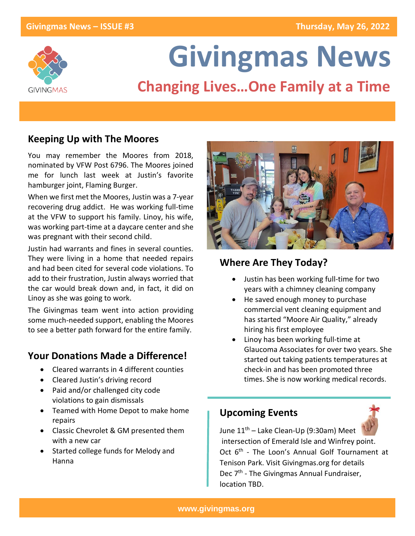

# **Givingmas News**

## **Changing Lives…One Family at a Time**

## **Keeping Up with The Moores**

You may remember the Moores from 2018, nominated by VFW Post 6796. The Moores joined me for lunch last week at Justin's favorite hamburger joint, Flaming Burger.

When we first met the Moores, Justin was a 7-year recovering drug addict. He was working full-time at the VFW to support his family. Linoy, his wife, was working part-time at a daycare center and she was pregnant with their second child.

Justin had warrants and fines in several counties. They were living in a home that needed repairs and had been cited for several code violations. To add to their frustration, Justin always worried that the car would break down and, in fact, it did on Linoy as she was going to work.

The Givingmas team went into action providing some much-needed support, enabling the Moores to see a better path forward for the entire family.

## **Your Donations Made a Difference!**

- Cleared warrants in 4 different counties
- Cleared Justin's driving record
- Paid and/or challenged city code violations to gain dismissals
- Teamed with Home Depot to make home repairs
- Classic Chevrolet & GM presented them with a new car
- Started college funds for Melody and Hanna



## **Where Are They Today?**

- Justin has been working full-time for two years with a chimney cleaning company
- He saved enough money to purchase commercial vent cleaning equipment and has started "Moore Air Quality," already hiring his first employee
- Linoy has been working full-time at Glaucoma Associates for over two years. She started out taking patients temperatures at check-in and has been promoted three times. She is now working medical records.

## **Upcoming Events**



June  $11<sup>th</sup>$  – Lake Clean-Up (9:30am) Meet intersection of Emerald Isle and Winfrey point. Oct 6<sup>th</sup> - The Loon's Annual Golf Tournament at Tenison Park. Visit Givingmas.org for details Dec 7<sup>th</sup> - The Givingmas Annual Fundraiser, location TBD.